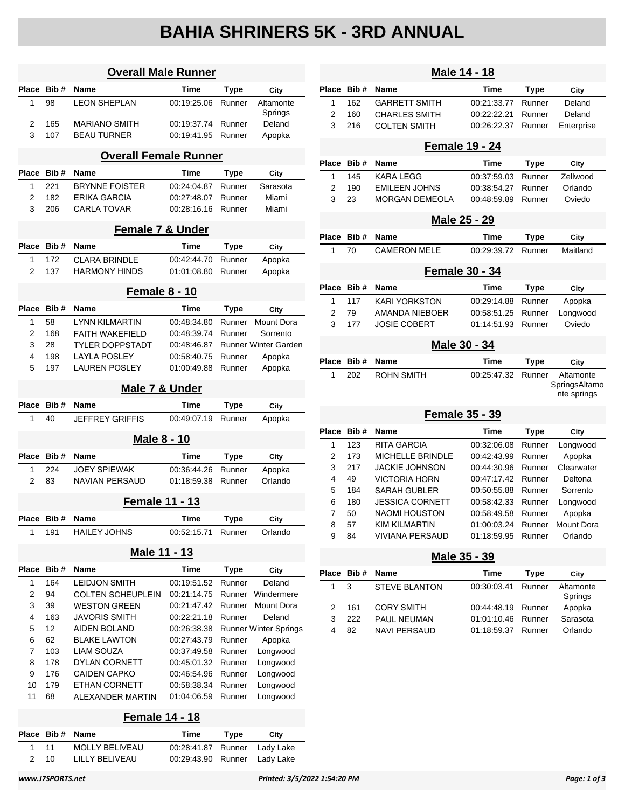# **BAHIA SHRINERS 5K - 3RD ANNUAL**

| <b>Overall Male Runner</b> |            |                              |                            |                  |                              |
|----------------------------|------------|------------------------------|----------------------------|------------------|------------------------------|
| Place                      | Bib#       | <b>Name</b>                  | Time                       | <b>Type</b>      | City                         |
| 1                          | 98         | <b>LEON SHEPLAN</b>          | 00:19:25.06                | Runner           | Altamonte<br>Springs         |
| 2                          | 165        | <b>MARIANO SMITH</b>         | 00:19:37.74                | Runner           | Deland                       |
| 3                          | 107        | <b>BEAU TURNER</b>           | 00:19:41.95                | Runner           | Apopka                       |
|                            |            | <b>Overall Female Runner</b> |                            |                  |                              |
| Place                      | Bib#       | Name                         | <b>Time</b>                | Type             | City                         |
| 1                          | 221        | <b>BRYNNE FOISTER</b>        | 00:24:04.87                | Runner           | Sarasota                     |
| 2                          | 182        | ERIKA GARCIA                 | 00:27:48.07                | Runner           | Miami                        |
| 3                          | 206        | <b>CARLA TOVAR</b>           | 00:28:16.16                | Runner           | Miami                        |
|                            |            | <b>Female 7 &amp; Under</b>  |                            |                  |                              |
| <b>Place</b>               | Bib#       | Name                         | Time                       | Type             | City                         |
| 1                          | 172        | <b>CLARA BRINDLE</b>         | 00:42:44.70                | Runner           | Apopka                       |
| 2                          | 137        | <b>HARMONY HINDS</b>         | 01:01:08.80                | Runner           | Apopka                       |
|                            |            | <b>Female 8 - 10</b>         |                            |                  |                              |
| <b>Place</b>               | Bib#       | Name                         | Time                       | <b>Type</b>      | City                         |
| 1                          | 58         | <b>LYNN KILMARTIN</b>        | 00:48:34.80                | Runner           | <b>Mount Dora</b>            |
| 2                          | 168        | FAITH WAKEFIELD              | 00:48:39.74                | Runner           | Sorrento                     |
| 3                          | 28         | <b>TYLER DOPPSTADT</b>       | 00:48:46.87                |                  | <b>Runner Winter Garden</b>  |
| 4                          | 198        | <b>LAYLA POSLEY</b>          | 00:58:40.75                | Runner           | Apopka                       |
| 5                          | 197        | <b>LAUREN POSLEY</b>         | 01:00:49.88                | Runner           | Apopka                       |
|                            |            | Male 7 & Under               |                            |                  |                              |
| <b>Place</b>               | Bib#       | Name                         | Time                       | Type             | City                         |
| 1                          | 40         | <b>JEFFREY GRIFFIS</b>       | 00:49:07.19                | Runner           | Apopka                       |
|                            |            | <b>Male 8 - 10</b>           |                            |                  |                              |
| Place                      | Bib#       | Name                         | Time                       | Type             | City                         |
| 1                          | 224        | <b>JOEY SPIEWAK</b>          | 00:36:44.26                | Runner           | Apopka                       |
| 2                          | 83         | <b>NAVIAN PERSAUD</b>        | 01:18:59.38                | Runner           | Orlando                      |
|                            |            | <b>Female 11 - 13</b>        |                            |                  |                              |
| насе                       | Bib#       | Name                         | Time                       | Type             | City                         |
| 1                          | 191        | <b>HAILEY JOHNS</b>          | 00:52:15.71                | Runner           | Orlando                      |
|                            |            | Male 11 - 13                 |                            |                  |                              |
| Place                      | Bib#       | Name                         | Time                       | Type             | City                         |
| 1                          | 164        | <b>LEIDJON SMITH</b>         | 00:19:51.52                | Runner           | Deland                       |
| 2                          | 94         | <b>COLTEN SCHEUPLEIN</b>     | 00:21:14.75                | Runner           | Windermere                   |
| 3                          | 39         | <b>WESTON GREEN</b>          | 00:21:47.42                | Runner           | Mount Dora                   |
| 4                          | 163        | <b>JAVORIS SMITH</b>         | 00:22:21.18                | Runner           | Deland                       |
| 5                          | 12         | <b>AIDEN BOLAND</b>          | 00:26:38.38                |                  | <b>Runner Winter Springs</b> |
| 6                          | 62         | <b>BLAKE LAWTON</b>          | 00:27:43.79                | Runner           | Apopka                       |
| 7                          | 103<br>178 | LIAM SOUZA<br>DYLAN CORNETT  | 00:37:49.58                | Runner           | Longwood                     |
| 8<br>9                     | 176        | <b>CAIDEN CAPKO</b>          | 00:45:01.32<br>00:46:54.96 | Runner<br>Runner | Longwood<br>Longwood         |
| 10                         | 179        | ETHAN CORNETT                | 00:58:38.34                | Runner           | Longwood                     |
| 11                         | 68         | ALEXANDER MARTIN             | 01:04:06.59                | Runner           | Longwood                     |
|                            |            | <b>Female 14 - 18</b>        |                            |                  |                              |
| Place                      | Bib#       | Name                         | Time                       | Type             | City                         |
| 1                          | 11         | MOLLY BELIVEAU               | 00:28:41.87                | Runner           | Lady Lake                    |

2 10 LILLY BELIVEAU 00:29:43.90 Runner Lady Lake

|       |      | Male 14 - 18           |             |             |                                           |  |
|-------|------|------------------------|-------------|-------------|-------------------------------------------|--|
| Place | Bib# | <b>Name</b>            | <b>Time</b> | Type        | City                                      |  |
| 1     | 162  | <b>GARRETT SMITH</b>   | 00:21:33.77 | Runner      | Deland                                    |  |
| 2     | 160  | <b>CHARLES SMITH</b>   | 00:22:22.21 | Runner      | Deland                                    |  |
| 3     | 216  | <b>COLTEN SMITH</b>    | 00:26:22.37 | Runner      | Enterprise                                |  |
|       |      | <b>Female 19 - 24</b>  |             |             |                                           |  |
| Place | Bib# | <b>Name</b>            | <b>Time</b> | <b>Type</b> | City                                      |  |
| 1     | 145  | KARA LEGG              | 00:37:59.03 | Runner      | Zellwood                                  |  |
| 2     | 190  | <b>EMILEEN JOHNS</b>   | 00:38:54.27 | Runner      | Orlando                                   |  |
| 3     | 23   | MORGAN DEMEOLA         | 00:48:59.89 | Runner      | Oviedo                                    |  |
|       |      | Male 25 - 29           |             |             |                                           |  |
| Place | Bib# | Name                   | Time        | Type        | City                                      |  |
| 1     | 70   | <b>CAMERON MELE</b>    | 00:29:39.72 | Runner      | Maitland                                  |  |
|       |      | <b>Female 30 - 34</b>  |             |             |                                           |  |
| Place | Bib# | Name                   | Time        |             |                                           |  |
|       |      |                        |             | <b>Type</b> | City                                      |  |
| 1     | 117  | KARI YORKSTON          | 00:29:14.88 | Runner      | Apopka                                    |  |
| 2     | 79   | <b>AMANDA NIEBOER</b>  | 00:58:51.25 | Runner      | Longwood                                  |  |
| 3     | 177  | <b>JOSIE COBERT</b>    | 01:14:51.93 | Runner      | Oviedo                                    |  |
|       |      | Male 30 - 34           |             |             |                                           |  |
| Place | Bib# | Name                   | <b>Time</b> | <b>Type</b> | City                                      |  |
| 1     | 202  | <b>ROHN SMITH</b>      | 00:25:47.32 | Runner      | Altamonte<br>SpringsAltamo<br>nte springs |  |
|       |      | Female 35 - 39         |             |             |                                           |  |
| Place | Bib# | Name                   | Time        | <b>Type</b> | City                                      |  |
| 1     | 123  | RITA GARCIA            | 00:32:06.08 | Runner      | Longwood                                  |  |
| 2     | 173  | MICHELLE BRINDLE       | 00:42:43.99 | Runner      | Apopka                                    |  |
| 3     | 217  | <b>JACKIE JOHNSON</b>  | 00:44:30.96 | Runner      | Clearwater                                |  |
| 4     | 49   | <b>VICTORIA HORN</b>   | 00:47:17.42 | Runner      | Deltona                                   |  |
| 5     | 184  | <b>SARAH GUBLER</b>    | 00:50:55.88 | Runner      | Sorrento                                  |  |
| 6     | 180  | JESSICA CORNETT        | 00:58:42.33 | Runner      | Longwood                                  |  |
| 7     | 50   | <b>NAOMI HOUSTON</b>   | 00:58:49.58 | Runner      | Apopka                                    |  |
| 8     | 57   | <b>KIM KILMARTIN</b>   | 01:00:03.24 | Runner      | Mount Dora                                |  |
| 9     | 84   | <b>VIVIANA PERSAUD</b> | 01:18:59.95 | Runner      | Orlando                                   |  |
|       |      | Male 35 - 39           |             |             |                                           |  |
| Place | Bib# | <b>Name</b>            | <b>Time</b> | <b>Type</b> | City                                      |  |
| 1     | 3    | <b>STEVE BLANTON</b>   | 00:30:03.41 | Runner      | Altamonte                                 |  |
|       |      |                        |             |             | Springs                                   |  |
| 2     | 161  | <b>CORY SMITH</b>      | 00:44:48.19 | Runner      | Apopka                                    |  |
| 3     | 222  | PAUL NEUMAN            | 01:01:10.46 | Runner      | Sarasota                                  |  |
| 4     | 82   | NAVI PERSAUD           | 01:18:59.37 | Runner      | Orlando                                   |  |
|       |      |                        |             |             |                                           |  |
|       |      |                        |             |             |                                           |  |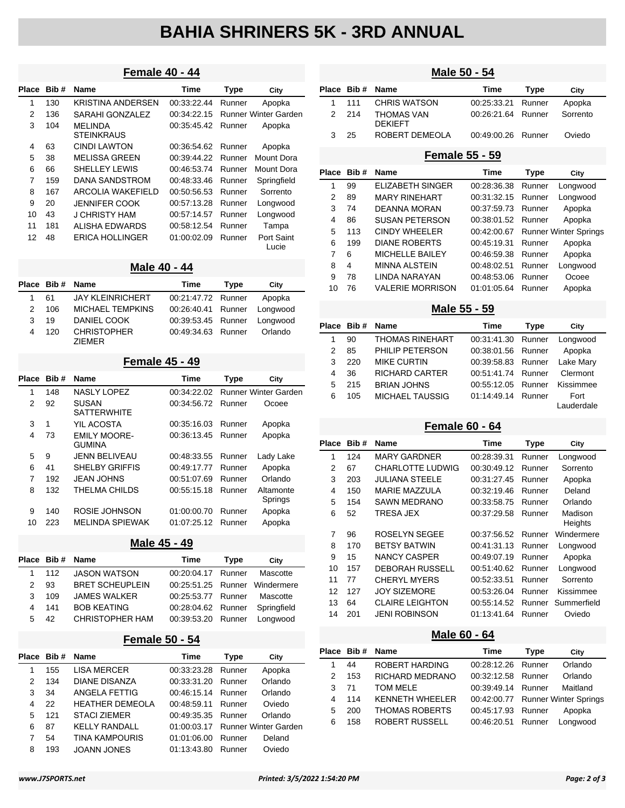# **BAHIA SHRINERS 5K - 3RD ANNUAL**

### **Female 40 - 44**

| Place | Bib# | <b>Name</b>                          | Time        | Type   | City                        |
|-------|------|--------------------------------------|-------------|--------|-----------------------------|
| 1     | 130  | KRISTINA ANDERSEN                    | 00:33:22.44 | Runner | Apopka                      |
| 2     | 136  | SARAHI GONZALEZ                      | 00:34:22.15 |        | <b>Runner Winter Garden</b> |
| 3     | 104  | <b>MEI INDA</b><br><b>STEINKRAUS</b> | 00:35:45.42 | Runner | Apopka                      |
| 4     | 63   | <b>CINDI LAWTON</b>                  | 00:36:54.62 | Runner | Apopka                      |
| 5     | 38   | <b>MELISSA GREEN</b>                 | 00:39:44.22 | Runner | Mount Dora                  |
| 6     | 66   | <b>SHELLEY LEWIS</b>                 | 00:46:53.74 | Runner | Mount Dora                  |
| 7     | 159  | DANA SANDSTROM                       | 00:48:33.46 | Runner | Springfield                 |
| 8     | 167  | ARCOLIA WAKEFIELD                    | 00:50:56.53 | Runner | Sorrento                    |
| 9     | 20   | JENNIFER COOK                        | 00:57:13.28 | Runner | Longwood                    |
| 10    | 43   | J CHRISTY HAM                        | 00:57:14.57 | Runner | Longwood                    |
| 11    | 181  | ALISHA FDWARDS                       | 00:58:12.54 | Runner | Tampa                       |
| 12    | 48   | <b>ERICA HOLLINGER</b>               | 01:00:02.09 | Runner | Port Saint<br>Lucie         |

#### **Male 40 - 44**

|   | Place Bib# | Name                                | Time                        | Type | City     |
|---|------------|-------------------------------------|-----------------------------|------|----------|
|   | 61         | <b>JAY KLEINRICHERT</b>             | 00:21:47.72 Runner          |      | Apopka   |
| 2 | 106        | MICHAEL TEMPKINS                    | 00:26:40.41 Runner Longwood |      |          |
| 3 | 19         | DANIEL COOK                         | 00:39:53.45 Runner          |      | Longwood |
| 4 | 120        | <b>CHRISTOPHER</b><br><b>ZIFMER</b> | 00:49:34.63 Runner          |      | Orlando  |

#### **Female 45 - 49**

| Place | Bib# | <b>Name</b>                          | <b>Time</b> | Type   | City                        |
|-------|------|--------------------------------------|-------------|--------|-----------------------------|
| 1     | 148  | <b>NASLY LOPEZ</b>                   | 00:34:22.02 |        | <b>Runner Winter Garden</b> |
| 2     | 92   | <b>SUSAN</b><br><b>SATTERWHITE</b>   | 00:34:56.72 | Runner | Ocoee                       |
| 3     | 1    | YIL ACOSTA                           | 00:35:16.03 | Runner | Apopka                      |
| 4     | 73   | <b>EMILY MOORE-</b><br><b>GUMINA</b> | 00:36:13.45 | Runner | Apopka                      |
| 5     | 9    | <b>JENN BELIVEAU</b>                 | 00:48:33.55 | Runner | Lady Lake                   |
| 6     | 41   | <b>SHELBY GRIFFIS</b>                | 00:49:17.77 | Runner | Apopka                      |
| 7     | 192  | <b>JEAN JOHNS</b>                    | 00:51:07.69 | Runner | Orlando                     |
| 8     | 132  | THELMA CHILDS                        | 00:55:15.18 | Runner | Altamonte<br>Springs        |
| 9     | 140  | ROSIE JOHNSON                        | 01:00:00.70 | Runner | Apopka                      |
| 10    | 223  | <b>MELINDA SPIEWAK</b>               | 01:07:25.12 | Runner | Apopka                      |

#### **Male 45 - 49**

|               | Place Bib # Name |                        | Time                           | Type | City     |
|---------------|------------------|------------------------|--------------------------------|------|----------|
| $1 \quad$     | 112              | JASON WATSON           | 00:20:04.17 Runner             |      | Mascotte |
| $\mathcal{P}$ | 93               | <b>BRET SCHEUPLEIN</b> | 00:25:51.25 Runner Windermere  |      |          |
| 3             | 109              | <b>JAMES WALKER</b>    | 00:25:53.77 Runner             |      | Mascotte |
| 4             | 141              | <b>BOB KEATING</b>     | 00:28:04.62 Runner Springfield |      |          |
| 5             | 42               | CHRISTOPHER HAM        | 00:39:53.20 Runner Longwood    |      |          |

### **Female 50 - 54**

|   | Place Bib# Name |                        | Time        | Type   | City                        |
|---|-----------------|------------------------|-------------|--------|-----------------------------|
|   | 155             | <b>LISA MERCER</b>     | 00:33:23.28 | Runner | Apopka                      |
| 2 | 134             | <b>DIANE DISANZA</b>   | 00:33:31.20 | Runner | Orlando                     |
| 3 | 34              | ANGELA FETTIG          | 00:46:15.14 | Runner | Orlando                     |
| 4 | 22              | <b>HEATHER DEMEOLA</b> | 00:48:59.11 | Runner | Oviedo                      |
| 5 | 121             | <b>STACI ZIEMER</b>    | 00:49:35.35 | Runner | Orlando                     |
| 6 | 87              | <b>KELLY RANDALL</b>   | 01:00:03.17 |        | <b>Runner Winter Garden</b> |
| 7 | 54              | <b>TINA KAMPOURIS</b>  | 01:01:06.00 | Runner | Deland                      |
| 8 | 193             | <b>JOANN JONES</b>     | 01:13:43.80 | Runner | Oviedo                      |

| Male 50 - 54   |      |                              |             |             |                              |  |  |
|----------------|------|------------------------------|-------------|-------------|------------------------------|--|--|
| Place          | Bib# | Name                         | <b>Time</b> | Type        | City                         |  |  |
| $\mathbf{1}$   | 111  | <b>CHRIS WATSON</b>          | 00:25:33.21 | Runner      | Apopka                       |  |  |
| $\overline{2}$ | 214  | THOMAS VAN<br><b>DEKIEFT</b> | 00:26:21.64 | Runner      | Sorrento                     |  |  |
| 3              | 25   | ROBERT DEMEOLA               | 00:49:00.26 | Runner      | Oviedo                       |  |  |
|                |      | <b>Female 55 - 59</b>        |             |             |                              |  |  |
| Place          | Bib# | Name                         | Time        | <b>Type</b> | City                         |  |  |
| $\mathbf{1}$   | 99   | <b>ELIZABETH SINGER</b>      | 00:28:36.38 | Runner      | Longwood                     |  |  |
| $\overline{2}$ | 89   | <b>MARY RINEHART</b>         | 00:31:32.15 | Runner      | Longwood                     |  |  |
| 3              | 74   | <b>DEANNA MORAN</b>          | 00:37:59.73 | Runner      | Apopka                       |  |  |
| 4              | 86   | <b>SUSAN PETERSON</b>        | 00:38:01.52 | Runner      | Apopka                       |  |  |
| 5              | 113  | <b>CINDY WHEELER</b>         | 00:42:00.67 |             | <b>Runner Winter Springs</b> |  |  |
| 6              | 199  | <b>DIANE ROBERTS</b>         | 00:45:19.31 | Runner      | Apopka                       |  |  |
| 7              | 6    | <b>MICHELLE BAILEY</b>       | 00:46:59.38 | Runner      | Apopka                       |  |  |
| 8              | 4    | <b>MINNA ALSTEIN</b>         | 00:48:02.51 | Runner      | Longwood                     |  |  |
| 9              | 78   | <b>LINDA NARAYAN</b>         | 00:48:53.06 | Runner      | Ocoee                        |  |  |
| 10             | 76   | <b>VALERIE MORRISON</b>      | 01:01:05.64 | Runner      | Apopka                       |  |  |
|                |      | Male 55 - 59                 |             |             |                              |  |  |
| Place          | Bib# | <b>Name</b>                  | Time        | <b>Type</b> | City                         |  |  |
| $\mathbf{1}$   | 90   | <b>THOMAS RINEHART</b>       | 00:31:41.30 | Runner      | Longwood                     |  |  |
| $\overline{2}$ | 85   | PHILIP PETERSON              | 00:38:01.56 | Runner      | Apopka                       |  |  |
| 3              | 220  | <b>MIKE CURTIN</b>           | 00:39:58.83 | Runner      | Lake Mary                    |  |  |
| 4              | 36   | <b>RICHARD CARTER</b>        | 00:51:41.74 | Runner      | Clermont                     |  |  |
| 5              | 215  | <b>BRIAN JOHNS</b>           | 00:55:12.05 | Runner      | Kissimmee                    |  |  |
| 6              | 105  | <b>MICHAEL TAUSSIG</b>       | 01:14:49.14 | Runner      | Fort                         |  |  |
|                |      |                              |             |             | Lauderdale                   |  |  |
|                |      | <b>Female 60 - 64</b>        |             |             |                              |  |  |
| Place          | Bib# | Name                         | <b>Time</b> | <b>Type</b> | City                         |  |  |
| $\mathbf{1}$   | 124  | <b>MARY GARDNER</b>          | 00:28:39.31 | Runner      | Longwood                     |  |  |
| $\overline{2}$ | 67   | <b>CHARLOTTE LUDWIG</b>      | 00:30:49.12 | Runner      | Sorrento                     |  |  |
| 3              | 203  | <b>JULIANA STEELE</b>        | 00:31:27.45 | Runner      | Apopka                       |  |  |

# **Male 60 - 64**

 150 MARIE MAZZULA 00:32:19.46 Runner Deland 154 SAWN MEDRANO 00:33:58.75 Runner Orlando 52 TRESA JEX 00:37:29.58 Runner Madison

 96 ROSELYN SEGEE 00:37:56.52 Runner Windermere 170 BETSY BATWIN 00:41:31.13 Runner Longwood 15 NANCY CASPER 00:49:07.19 Runner Apopka 157 DEBORAH RUSSELL 00:51:40.62 Runner Longwood 77 CHERYL MYERS 00:52:33.51 Runner Sorrento 127 JOY SIZEMORE 00:53:26.04 Runner Kissimmee 64 CLAIRE LEIGHTON 00:55:14.52 Runner Summerfield 201 JENI ROBINSON 01:13:41.64 Runner Oviedo

|   | Place Bib# Name |                        | Time               | Type | City                              |
|---|-----------------|------------------------|--------------------|------|-----------------------------------|
|   | 44              | <b>ROBERT HARDING</b>  | 00:28:12.26 Runner |      | Orlando                           |
| 2 | 153             | RICHARD MEDRANO        | 00:32:12.58 Runner |      | Orlando                           |
| 3 | 71              | <b>TOM MELE</b>        | 00:39:49.14 Runner |      | Maitland                          |
| 4 | 114             | <b>KENNETH WHEELER</b> |                    |      | 00:42:00.77 Runner Winter Springs |
| 5 | 200             | <b>THOMAS ROBERTS</b>  | 00:45:17.93 Runner |      | Apopka                            |
| 6 | 158             | <b>ROBERT RUSSELL</b>  | 00:46:20.51 Runner |      | Lonawood                          |

**Heights**